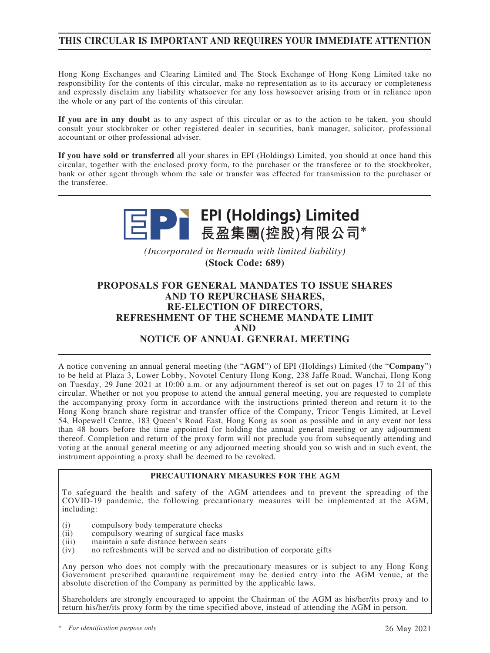# **THIS CIRCULAR IS IMPORTANT AND REQUIRES YOUR IMMEDIATE ATTENTION**

Hong Kong Exchanges and Clearing Limited and The Stock Exchange of Hong Kong Limited take no responsibility for the contents of this circular, make no representation as to its accuracy or completeness and expressly disclaim any liability whatsoever for any loss howsoever arising from or in reliance upon the whole or any part of the contents of this circular.

**If you are in any doubt** as to any aspect of this circular or as to the action to be taken, you should consult your stockbroker or other registered dealer in securities, bank manager, solicitor, professional accountant or other professional adviser.

**If you have sold or transferred** all your shares in EPI (Holdings) Limited, you should at once hand this circular, together with the enclosed proxy form, to the purchaser or the transferee or to the stockbroker, bank or other agent through whom the sale or transfer was effected for transmission to the purchaser or the transferee.



*(Incorporated in Bermuda with limited liability)* **(Stock Code: 689)**

# **PROPOSALS FOR GENERAL MANDATES TO ISSUE SHARES AND TO REPURCHASE SHARES, RE-ELECTION OF DIRECTORS, REFRESHMENT OF THE SCHEME MANDATE LIMIT AND NOTICE OF ANNUAL GENERAL MEETING**

A notice convening an annual general meeting (the "**AGM**") of EPI (Holdings) Limited (the "**Company**") to be held at Plaza 3, Lower Lobby, Novotel Century Hong Kong, 238 Jaffe Road, Wanchai, Hong Kong on Tuesday, 29 June 2021 at 10:00 a.m. or any adjournment thereof is set out on pages 17 to 21 of this circular. Whether or not you propose to attend the annual general meeting, you are requested to complete the accompanying proxy form in accordance with the instructions printed thereon and return it to the Hong Kong branch share registrar and transfer office of the Company, Tricor Tengis Limited, at Level 54, Hopewell Centre, 183 Queen's Road East, Hong Kong as soon as possible and in any event not less than 48 hours before the time appointed for holding the annual general meeting or any adjournment thereof. Completion and return of the proxy form will not preclude you from subsequently attending and voting at the annual general meeting or any adjourned meeting should you so wish and in such event, the instrument appointing a proxy shall be deemed to be revoked.

### **PRECAUTIONARY MEASURES FOR THE AGM**

To safeguard the health and safety of the AGM attendees and to prevent the spreading of the COVID-19 pandemic, the following precautionary measures will be implemented at the AGM, including:

- (i) compulsory body temperature checks
- (ii) compulsory wearing of surgical face masks<br>(iii) maintain a safe distance between seats
- maintain a safe distance between seats
- $(iv)$  no refreshments will be served and no distribution of corporate gifts

Any person who does not comply with the precautionary measures or is subject to any Hong Kong Government prescribed quarantine requirement may be denied entry into the AGM venue, at the absolute discretion of the Company as permitted by the applicable laws.

Shareholders are strongly encouraged to appoint the Chairman of the AGM as his/her/its proxy and to return his/her/its proxy form by the time specified above, instead of attending the AGM in person.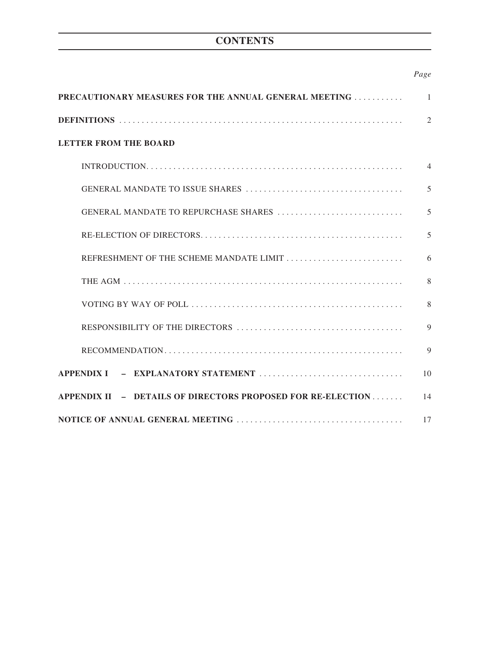# **CONTENTS**

# *Page*

| <b>PRECAUTIONARY MEASURES FOR THE ANNUAL GENERAL MEETING </b> | $\overline{1}$ |
|---------------------------------------------------------------|----------------|
|                                                               | $\overline{2}$ |
| <b>LETTER FROM THE BOARD</b>                                  |                |
|                                                               | $\overline{4}$ |
|                                                               | 5              |
|                                                               | 5              |
|                                                               | 5              |
| REFRESHMENT OF THE SCHEME MANDATE LIMIT                       | 6              |
|                                                               | 8              |
|                                                               | 8              |
|                                                               | 9              |
|                                                               | $\mathbf Q$    |
|                                                               | 10             |
| APPENDIX II - DETAILS OF DIRECTORS PROPOSED FOR RE-ELECTION   | 14             |
|                                                               |                |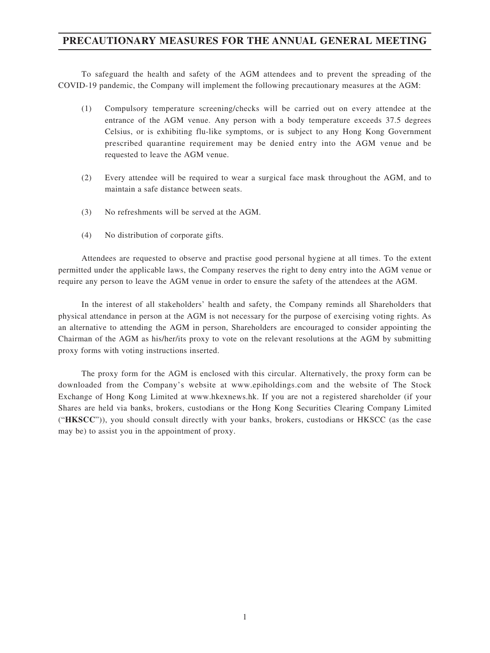# **PRECAUTIONARY MEASURES FOR THE ANNUAL GENERAL MEETING**

To safeguard the health and safety of the AGM attendees and to prevent the spreading of the COVID-19 pandemic, the Company will implement the following precautionary measures at the AGM:

- (1) Compulsory temperature screening/checks will be carried out on every attendee at the entrance of the AGM venue. Any person with a body temperature exceeds 37.5 degrees Celsius, or is exhibiting flu-like symptoms, or is subject to any Hong Kong Government prescribed quarantine requirement may be denied entry into the AGM venue and be requested to leave the AGM venue.
- (2) Every attendee will be required to wear a surgical face mask throughout the AGM, and to maintain a safe distance between seats.
- (3) No refreshments will be served at the AGM.
- (4) No distribution of corporate gifts.

Attendees are requested to observe and practise good personal hygiene at all times. To the extent permitted under the applicable laws, the Company reserves the right to deny entry into the AGM venue or require any person to leave the AGM venue in order to ensure the safety of the attendees at the AGM.

In the interest of all stakeholders' health and safety, the Company reminds all Shareholders that physical attendance in person at the AGM is not necessary for the purpose of exercising voting rights. As an alternative to attending the AGM in person, Shareholders are encouraged to consider appointing the Chairman of the AGM as his/her/its proxy to vote on the relevant resolutions at the AGM by submitting proxy forms with voting instructions inserted.

The proxy form for the AGM is enclosed with this circular. Alternatively, the proxy form can be downloaded from the Company's website at www.epiholdings.com and the website of The Stock Exchange of Hong Kong Limited at www.hkexnews.hk. If you are not a registered shareholder (if your Shares are held via banks, brokers, custodians or the Hong Kong Securities Clearing Company Limited ("**HKSCC**")), you should consult directly with your banks, brokers, custodians or HKSCC (as the case may be) to assist you in the appointment of proxy.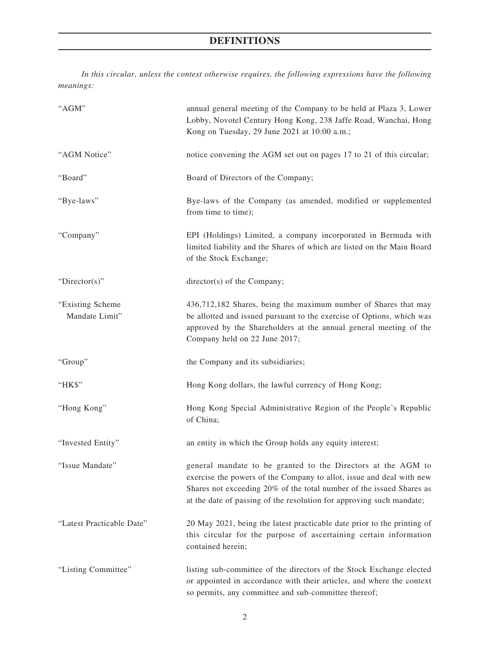# **DEFINITIONS**

*In this circular, unless the context otherwise requires, the following expressions have the following meanings:*

| "AGM"                               | annual general meeting of the Company to be held at Plaza 3, Lower<br>Lobby, Novotel Century Hong Kong, 238 Jaffe Road, Wanchai, Hong<br>Kong on Tuesday, 29 June 2021 at 10:00 a.m.;                                                                                                |  |  |
|-------------------------------------|--------------------------------------------------------------------------------------------------------------------------------------------------------------------------------------------------------------------------------------------------------------------------------------|--|--|
| "AGM Notice"                        | notice convening the AGM set out on pages 17 to 21 of this circular;                                                                                                                                                                                                                 |  |  |
| "Board"                             | Board of Directors of the Company;                                                                                                                                                                                                                                                   |  |  |
| "Bye-laws"                          | Bye-laws of the Company (as amended, modified or supplemented<br>from time to time);                                                                                                                                                                                                 |  |  |
| "Company"                           | EPI (Holdings) Limited, a company incorporated in Bermuda with<br>limited liability and the Shares of which are listed on the Main Board<br>of the Stock Exchange;                                                                                                                   |  |  |
| "Director(s)"                       | director(s) of the Company;                                                                                                                                                                                                                                                          |  |  |
| "Existing Scheme"<br>Mandate Limit" | 436,712,182 Shares, being the maximum number of Shares that may<br>be allotted and issued pursuant to the exercise of Options, which was<br>approved by the Shareholders at the annual general meeting of the<br>Company held on 22 June 2017;                                       |  |  |
| "Group"                             | the Company and its subsidiaries;                                                                                                                                                                                                                                                    |  |  |
| "HK\$"                              | Hong Kong dollars, the lawful currency of Hong Kong;                                                                                                                                                                                                                                 |  |  |
| "Hong Kong"                         | Hong Kong Special Administrative Region of the People's Republic<br>of China;                                                                                                                                                                                                        |  |  |
| "Invested Entity"                   | an entity in which the Group holds any equity interest;                                                                                                                                                                                                                              |  |  |
| "Issue Mandate"                     | general mandate to be granted to the Directors at the AGM to<br>exercise the powers of the Company to allot, issue and deal with new<br>Shares not exceeding 20% of the total number of the issued Shares as<br>at the date of passing of the resolution for approving such mandate; |  |  |
| "Latest Practicable Date"           | 20 May 2021, being the latest practicable date prior to the printing of<br>this circular for the purpose of ascertaining certain information<br>contained herein;                                                                                                                    |  |  |
| "Listing Committee"                 | listing sub-committee of the directors of the Stock Exchange elected<br>or appointed in accordance with their articles, and where the context<br>so permits, any committee and sub-committee thereof;                                                                                |  |  |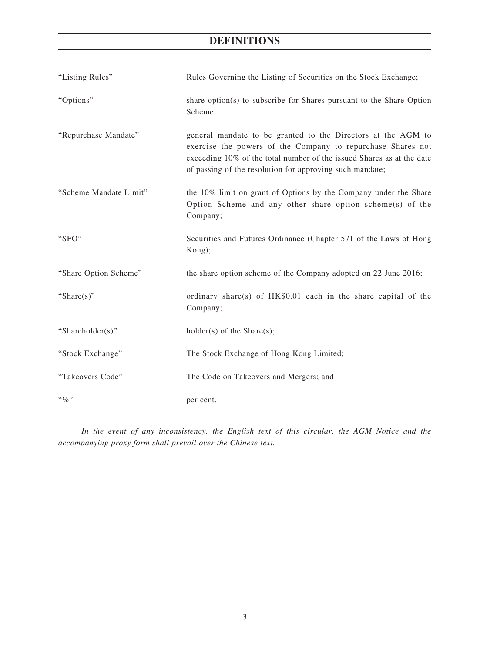# **DEFINITIONS**

| "Listing Rules"        | Rules Governing the Listing of Securities on the Stock Exchange;                                                                                                                                                                                                 |  |  |
|------------------------|------------------------------------------------------------------------------------------------------------------------------------------------------------------------------------------------------------------------------------------------------------------|--|--|
| "Options"              | share option(s) to subscribe for Shares pursuant to the Share Option<br>Scheme;                                                                                                                                                                                  |  |  |
| "Repurchase Mandate"   | general mandate to be granted to the Directors at the AGM to<br>exercise the powers of the Company to repurchase Shares not<br>exceeding 10% of the total number of the issued Shares as at the date<br>of passing of the resolution for approving such mandate; |  |  |
| "Scheme Mandate Limit" | the 10% limit on grant of Options by the Company under the Share<br>Option Scheme and any other share option scheme(s) of the<br>Company;                                                                                                                        |  |  |
| "SFO"                  | Securities and Futures Ordinance (Chapter 571 of the Laws of Hong<br>Kong);                                                                                                                                                                                      |  |  |
| "Share Option Scheme"  | the share option scheme of the Company adopted on 22 June 2016;                                                                                                                                                                                                  |  |  |
| "Share $(s)$ "         | ordinary share(s) of HK\$0.01 each in the share capital of the<br>Company;                                                                                                                                                                                       |  |  |
| "Shareholder(s)"       | $holder(s)$ of the Share $(s)$ ;                                                                                                                                                                                                                                 |  |  |
| "Stock Exchange"       | The Stock Exchange of Hong Kong Limited;                                                                                                                                                                                                                         |  |  |
| "Takeovers Code"       | The Code on Takeovers and Mergers; and                                                                                                                                                                                                                           |  |  |
| $``\%"$                | per cent.                                                                                                                                                                                                                                                        |  |  |

*In the event of any inconsistency, the English text of this circular, the AGM Notice and the accompanying proxy form shall prevail over the Chinese text.*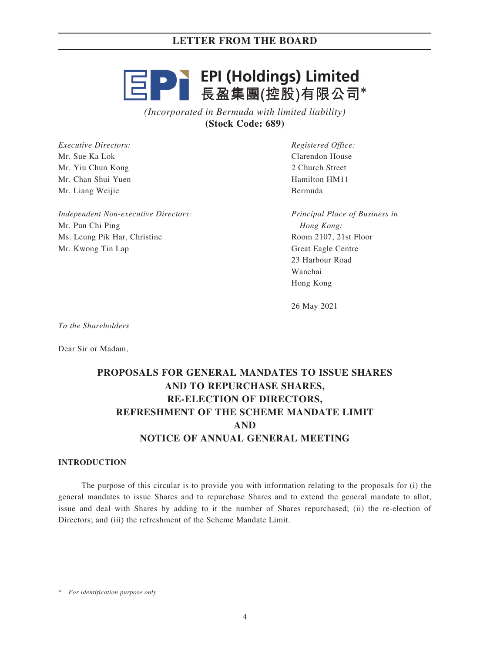# **三日 - EPI (Holdings) Limited**<br>三日 - 長盈集團(控股)有限公司\*

*(Incorporated in Bermuda with limited liability)* **(Stock Code: 689)**

*Executive Directors:* Mr. Sue Ka Lok Mr. Yiu Chun Kong Mr. Chan Shui Yuen Mr. Liang Weijie

*Independent Non-executive Directors:* Mr. Pun Chi Ping Ms. Leung Pik Har, Christine Mr. Kwong Tin Lap

*Registered Office:* Clarendon House 2 Church Street Hamilton HM11 Bermuda

*Principal Place of Business in Hong Kong:* Room 2107, 21st Floor Great Eagle Centre 23 Harbour Road Wanchai Hong Kong

26 May 2021

*To the Shareholders*

Dear Sir or Madam,

# **PROPOSALS FOR GENERAL MANDATES TO ISSUE SHARES AND TO REPURCHASE SHARES, RE-ELECTION OF DIRECTORS, REFRESHMENT OF THE SCHEME MANDATE LIMIT AND NOTICE OF ANNUAL GENERAL MEETING**

#### **INTRODUCTION**

The purpose of this circular is to provide you with information relating to the proposals for (i) the general mandates to issue Shares and to repurchase Shares and to extend the general mandate to allot, issue and deal with Shares by adding to it the number of Shares repurchased; (ii) the re-election of Directors; and (iii) the refreshment of the Scheme Mandate Limit.

\* *For identification purpose only*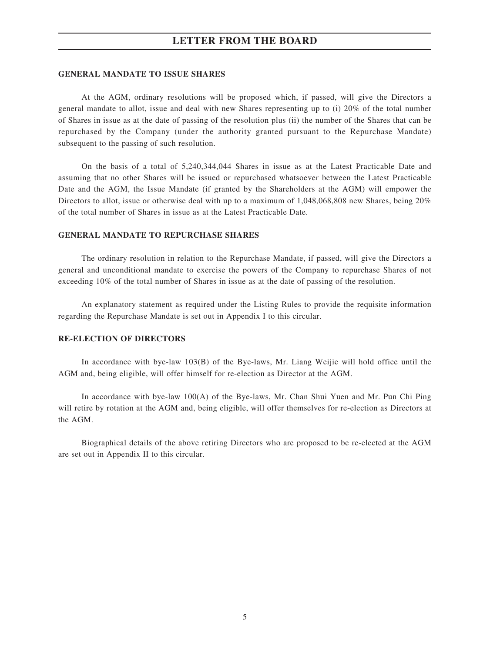#### **GENERAL MANDATE TO ISSUE SHARES**

At the AGM, ordinary resolutions will be proposed which, if passed, will give the Directors a general mandate to allot, issue and deal with new Shares representing up to (i) 20% of the total number of Shares in issue as at the date of passing of the resolution plus (ii) the number of the Shares that can be repurchased by the Company (under the authority granted pursuant to the Repurchase Mandate) subsequent to the passing of such resolution.

On the basis of a total of 5,240,344,044 Shares in issue as at the Latest Practicable Date and assuming that no other Shares will be issued or repurchased whatsoever between the Latest Practicable Date and the AGM, the Issue Mandate (if granted by the Shareholders at the AGM) will empower the Directors to allot, issue or otherwise deal with up to a maximum of 1,048,068,808 new Shares, being 20% of the total number of Shares in issue as at the Latest Practicable Date.

#### **GENERAL MANDATE TO REPURCHASE SHARES**

The ordinary resolution in relation to the Repurchase Mandate, if passed, will give the Directors a general and unconditional mandate to exercise the powers of the Company to repurchase Shares of not exceeding 10% of the total number of Shares in issue as at the date of passing of the resolution.

An explanatory statement as required under the Listing Rules to provide the requisite information regarding the Repurchase Mandate is set out in Appendix I to this circular.

## **RE-ELECTION OF DIRECTORS**

In accordance with bye-law 103(B) of the Bye-laws, Mr. Liang Weijie will hold office until the AGM and, being eligible, will offer himself for re-election as Director at the AGM.

In accordance with bye-law 100(A) of the Bye-laws, Mr. Chan Shui Yuen and Mr. Pun Chi Ping will retire by rotation at the AGM and, being eligible, will offer themselves for re-election as Directors at the AGM.

Biographical details of the above retiring Directors who are proposed to be re-elected at the AGM are set out in Appendix II to this circular.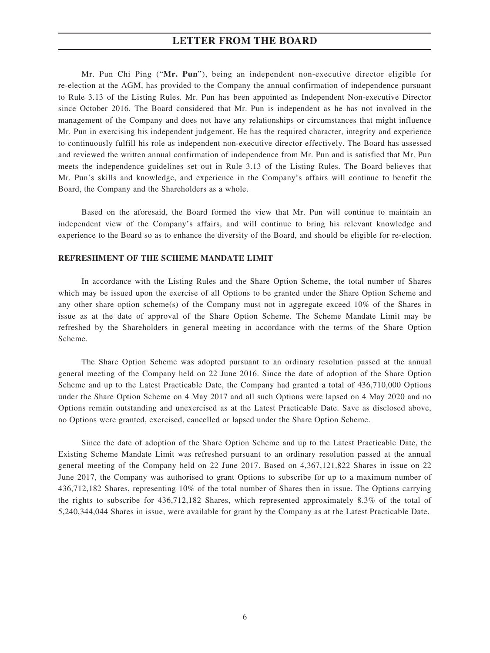Mr. Pun Chi Ping ("**Mr. Pun**"), being an independent non-executive director eligible for re-election at the AGM, has provided to the Company the annual confirmation of independence pursuant to Rule 3.13 of the Listing Rules. Mr. Pun has been appointed as Independent Non-executive Director since October 2016. The Board considered that Mr. Pun is independent as he has not involved in the management of the Company and does not have any relationships or circumstances that might influence Mr. Pun in exercising his independent judgement. He has the required character, integrity and experience to continuously fulfill his role as independent non-executive director effectively. The Board has assessed and reviewed the written annual confirmation of independence from Mr. Pun and is satisfied that Mr. Pun meets the independence guidelines set out in Rule 3.13 of the Listing Rules. The Board believes that Mr. Pun's skills and knowledge, and experience in the Company's affairs will continue to benefit the Board, the Company and the Shareholders as a whole.

Based on the aforesaid, the Board formed the view that Mr. Pun will continue to maintain an independent view of the Company's affairs, and will continue to bring his relevant knowledge and experience to the Board so as to enhance the diversity of the Board, and should be eligible for re-election.

#### **REFRESHMENT OF THE SCHEME MANDATE LIMIT**

In accordance with the Listing Rules and the Share Option Scheme, the total number of Shares which may be issued upon the exercise of all Options to be granted under the Share Option Scheme and any other share option scheme(s) of the Company must not in aggregate exceed 10% of the Shares in issue as at the date of approval of the Share Option Scheme. The Scheme Mandate Limit may be refreshed by the Shareholders in general meeting in accordance with the terms of the Share Option Scheme.

The Share Option Scheme was adopted pursuant to an ordinary resolution passed at the annual general meeting of the Company held on 22 June 2016. Since the date of adoption of the Share Option Scheme and up to the Latest Practicable Date, the Company had granted a total of 436,710,000 Options under the Share Option Scheme on 4 May 2017 and all such Options were lapsed on 4 May 2020 and no Options remain outstanding and unexercised as at the Latest Practicable Date. Save as disclosed above, no Options were granted, exercised, cancelled or lapsed under the Share Option Scheme.

Since the date of adoption of the Share Option Scheme and up to the Latest Practicable Date, the Existing Scheme Mandate Limit was refreshed pursuant to an ordinary resolution passed at the annual general meeting of the Company held on 22 June 2017. Based on 4,367,121,822 Shares in issue on 22 June 2017, the Company was authorised to grant Options to subscribe for up to a maximum number of 436,712,182 Shares, representing 10% of the total number of Shares then in issue. The Options carrying the rights to subscribe for 436,712,182 Shares, which represented approximately 8.3% of the total of 5,240,344,044 Shares in issue, were available for grant by the Company as at the Latest Practicable Date.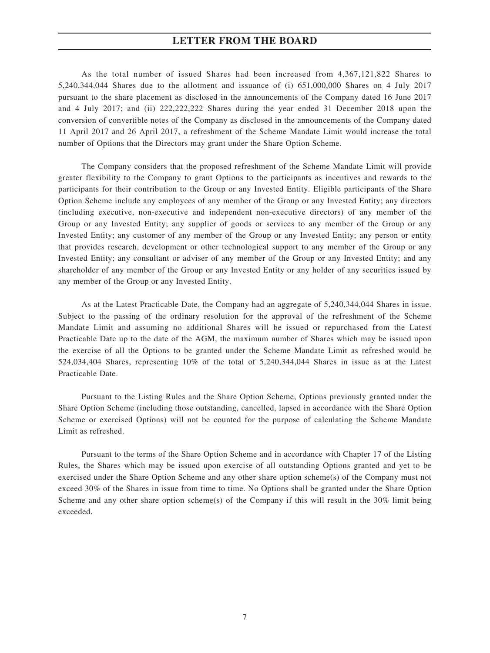As the total number of issued Shares had been increased from 4,367,121,822 Shares to 5,240,344,044 Shares due to the allotment and issuance of (i) 651,000,000 Shares on 4 July 2017 pursuant to the share placement as disclosed in the announcements of the Company dated 16 June 2017 and 4 July 2017; and (ii) 222,222,222 Shares during the year ended 31 December 2018 upon the conversion of convertible notes of the Company as disclosed in the announcements of the Company dated 11 April 2017 and 26 April 2017, a refreshment of the Scheme Mandate Limit would increase the total number of Options that the Directors may grant under the Share Option Scheme.

The Company considers that the proposed refreshment of the Scheme Mandate Limit will provide greater flexibility to the Company to grant Options to the participants as incentives and rewards to the participants for their contribution to the Group or any Invested Entity. Eligible participants of the Share Option Scheme include any employees of any member of the Group or any Invested Entity; any directors (including executive, non-executive and independent non-executive directors) of any member of the Group or any Invested Entity; any supplier of goods or services to any member of the Group or any Invested Entity; any customer of any member of the Group or any Invested Entity; any person or entity that provides research, development or other technological support to any member of the Group or any Invested Entity; any consultant or adviser of any member of the Group or any Invested Entity; and any shareholder of any member of the Group or any Invested Entity or any holder of any securities issued by any member of the Group or any Invested Entity.

As at the Latest Practicable Date, the Company had an aggregate of 5,240,344,044 Shares in issue. Subject to the passing of the ordinary resolution for the approval of the refreshment of the Scheme Mandate Limit and assuming no additional Shares will be issued or repurchased from the Latest Practicable Date up to the date of the AGM, the maximum number of Shares which may be issued upon the exercise of all the Options to be granted under the Scheme Mandate Limit as refreshed would be 524,034,404 Shares, representing 10% of the total of 5,240,344,044 Shares in issue as at the Latest Practicable Date.

Pursuant to the Listing Rules and the Share Option Scheme, Options previously granted under the Share Option Scheme (including those outstanding, cancelled, lapsed in accordance with the Share Option Scheme or exercised Options) will not be counted for the purpose of calculating the Scheme Mandate Limit as refreshed.

Pursuant to the terms of the Share Option Scheme and in accordance with Chapter 17 of the Listing Rules, the Shares which may be issued upon exercise of all outstanding Options granted and yet to be exercised under the Share Option Scheme and any other share option scheme(s) of the Company must not exceed 30% of the Shares in issue from time to time. No Options shall be granted under the Share Option Scheme and any other share option scheme(s) of the Company if this will result in the  $30\%$  limit being exceeded.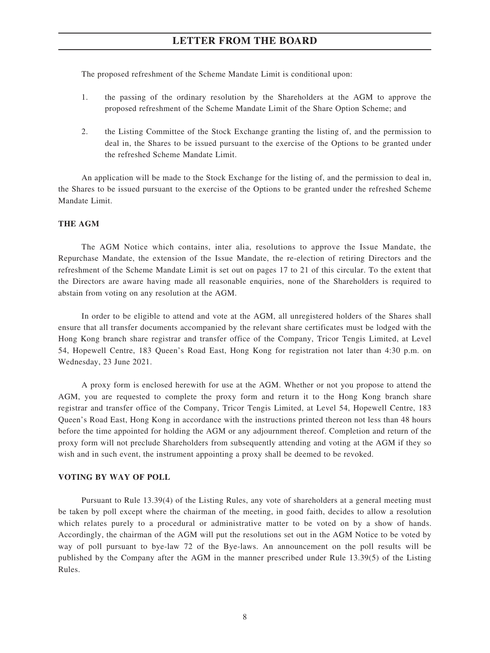The proposed refreshment of the Scheme Mandate Limit is conditional upon:

- 1. the passing of the ordinary resolution by the Shareholders at the AGM to approve the proposed refreshment of the Scheme Mandate Limit of the Share Option Scheme; and
- 2. the Listing Committee of the Stock Exchange granting the listing of, and the permission to deal in, the Shares to be issued pursuant to the exercise of the Options to be granted under the refreshed Scheme Mandate Limit.

An application will be made to the Stock Exchange for the listing of, and the permission to deal in, the Shares to be issued pursuant to the exercise of the Options to be granted under the refreshed Scheme Mandate Limit.

#### **THE AGM**

The AGM Notice which contains, inter alia, resolutions to approve the Issue Mandate, the Repurchase Mandate, the extension of the Issue Mandate, the re-election of retiring Directors and the refreshment of the Scheme Mandate Limit is set out on pages 17 to 21 of this circular. To the extent that the Directors are aware having made all reasonable enquiries, none of the Shareholders is required to abstain from voting on any resolution at the AGM.

In order to be eligible to attend and vote at the AGM, all unregistered holders of the Shares shall ensure that all transfer documents accompanied by the relevant share certificates must be lodged with the Hong Kong branch share registrar and transfer office of the Company, Tricor Tengis Limited, at Level 54, Hopewell Centre, 183 Queen's Road East, Hong Kong for registration not later than 4:30 p.m. on Wednesday, 23 June 2021.

A proxy form is enclosed herewith for use at the AGM. Whether or not you propose to attend the AGM, you are requested to complete the proxy form and return it to the Hong Kong branch share registrar and transfer office of the Company, Tricor Tengis Limited, at Level 54, Hopewell Centre, 183 Queen's Road East, Hong Kong in accordance with the instructions printed thereon not less than 48 hours before the time appointed for holding the AGM or any adjournment thereof. Completion and return of the proxy form will not preclude Shareholders from subsequently attending and voting at the AGM if they so wish and in such event, the instrument appointing a proxy shall be deemed to be revoked.

#### **VOTING BY WAY OF POLL**

Pursuant to Rule 13.39(4) of the Listing Rules, any vote of shareholders at a general meeting must be taken by poll except where the chairman of the meeting, in good faith, decides to allow a resolution which relates purely to a procedural or administrative matter to be voted on by a show of hands. Accordingly, the chairman of the AGM will put the resolutions set out in the AGM Notice to be voted by way of poll pursuant to bye-law 72 of the Bye-laws. An announcement on the poll results will be published by the Company after the AGM in the manner prescribed under Rule 13.39(5) of the Listing Rules.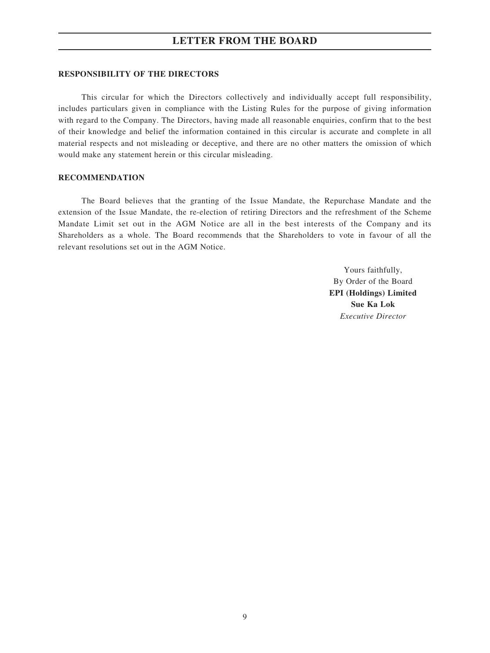#### **RESPONSIBILITY OF THE DIRECTORS**

This circular for which the Directors collectively and individually accept full responsibility, includes particulars given in compliance with the Listing Rules for the purpose of giving information with regard to the Company. The Directors, having made all reasonable enquiries, confirm that to the best of their knowledge and belief the information contained in this circular is accurate and complete in all material respects and not misleading or deceptive, and there are no other matters the omission of which would make any statement herein or this circular misleading.

#### **RECOMMENDATION**

The Board believes that the granting of the Issue Mandate, the Repurchase Mandate and the extension of the Issue Mandate, the re-election of retiring Directors and the refreshment of the Scheme Mandate Limit set out in the AGM Notice are all in the best interests of the Company and its Shareholders as a whole. The Board recommends that the Shareholders to vote in favour of all the relevant resolutions set out in the AGM Notice.

> Yours faithfully, By Order of the Board **EPI (Holdings) Limited Sue Ka Lok** *Executive Director*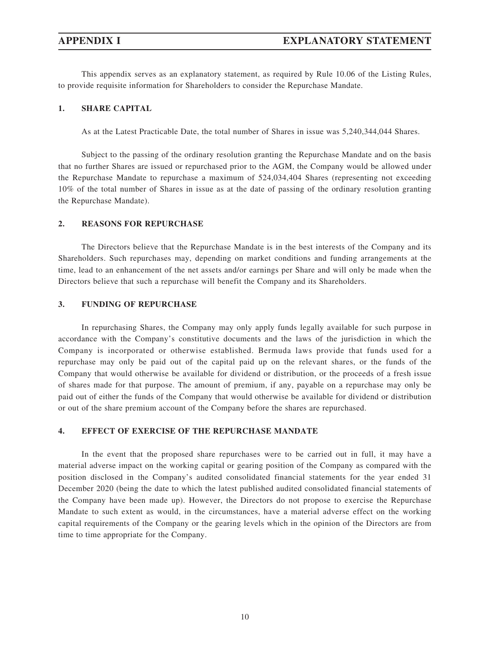This appendix serves as an explanatory statement, as required by Rule 10.06 of the Listing Rules, to provide requisite information for Shareholders to consider the Repurchase Mandate.

#### **1. SHARE CAPITAL**

As at the Latest Practicable Date, the total number of Shares in issue was 5,240,344,044 Shares.

Subject to the passing of the ordinary resolution granting the Repurchase Mandate and on the basis that no further Shares are issued or repurchased prior to the AGM, the Company would be allowed under the Repurchase Mandate to repurchase a maximum of 524,034,404 Shares (representing not exceeding 10% of the total number of Shares in issue as at the date of passing of the ordinary resolution granting the Repurchase Mandate).

#### **2. REASONS FOR REPURCHASE**

The Directors believe that the Repurchase Mandate is in the best interests of the Company and its Shareholders. Such repurchases may, depending on market conditions and funding arrangements at the time, lead to an enhancement of the net assets and/or earnings per Share and will only be made when the Directors believe that such a repurchase will benefit the Company and its Shareholders.

#### **3. FUNDING OF REPURCHASE**

In repurchasing Shares, the Company may only apply funds legally available for such purpose in accordance with the Company's constitutive documents and the laws of the jurisdiction in which the Company is incorporated or otherwise established. Bermuda laws provide that funds used for a repurchase may only be paid out of the capital paid up on the relevant shares, or the funds of the Company that would otherwise be available for dividend or distribution, or the proceeds of a fresh issue of shares made for that purpose. The amount of premium, if any, payable on a repurchase may only be paid out of either the funds of the Company that would otherwise be available for dividend or distribution or out of the share premium account of the Company before the shares are repurchased.

### **4. EFFECT OF EXERCISE OF THE REPURCHASE MANDATE**

In the event that the proposed share repurchases were to be carried out in full, it may have a material adverse impact on the working capital or gearing position of the Company as compared with the position disclosed in the Company's audited consolidated financial statements for the year ended 31 December 2020 (being the date to which the latest published audited consolidated financial statements of the Company have been made up). However, the Directors do not propose to exercise the Repurchase Mandate to such extent as would, in the circumstances, have a material adverse effect on the working capital requirements of the Company or the gearing levels which in the opinion of the Directors are from time to time appropriate for the Company.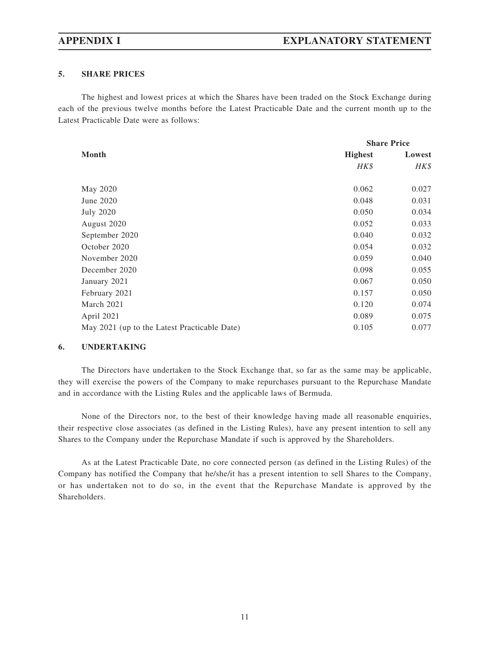## **5. SHARE PRICES**

The highest and lowest prices at which the Shares have been traded on the Stock Exchange during each of the previous twelve months before the Latest Practicable Date and the current month up to the Latest Practicable Date were as follows:

|                                              | <b>Share Price</b> |        |  |
|----------------------------------------------|--------------------|--------|--|
| Month                                        | <b>Highest</b>     | Lowest |  |
|                                              | HK\$               | HK\$   |  |
| May 2020                                     | 0.062              | 0.027  |  |
| June 2020                                    | 0.048              | 0.031  |  |
| July 2020                                    | 0.050              | 0.034  |  |
| August 2020                                  | 0.052              | 0.033  |  |
| September 2020                               | 0.040              | 0.032  |  |
| October 2020                                 | 0.054              | 0.032  |  |
| November 2020                                | 0.059              | 0.040  |  |
| December 2020                                | 0.098              | 0.055  |  |
| January 2021                                 | 0.067              | 0.050  |  |
| February 2021                                | 0.157              | 0.050  |  |
| March 2021                                   | 0.120              | 0.074  |  |
| April 2021                                   | 0.089              | 0.075  |  |
| May 2021 (up to the Latest Practicable Date) | 0.105              | 0.077  |  |

## **6. UNDERTAKING**

The Directors have undertaken to the Stock Exchange that, so far as the same may be applicable, they will exercise the powers of the Company to make repurchases pursuant to the Repurchase Mandate and in accordance with the Listing Rules and the applicable laws of Bermuda.

None of the Directors nor, to the best of their knowledge having made all reasonable enquiries, their respective close associates (as defined in the Listing Rules), have any present intention to sell any Shares to the Company under the Repurchase Mandate if such is approved by the Shareholders.

As at the Latest Practicable Date, no core connected person (as defined in the Listing Rules) of the Company has notified the Company that he/she/it has a present intention to sell Shares to the Company, or has undertaken not to do so, in the event that the Repurchase Mandate is approved by the Shareholders.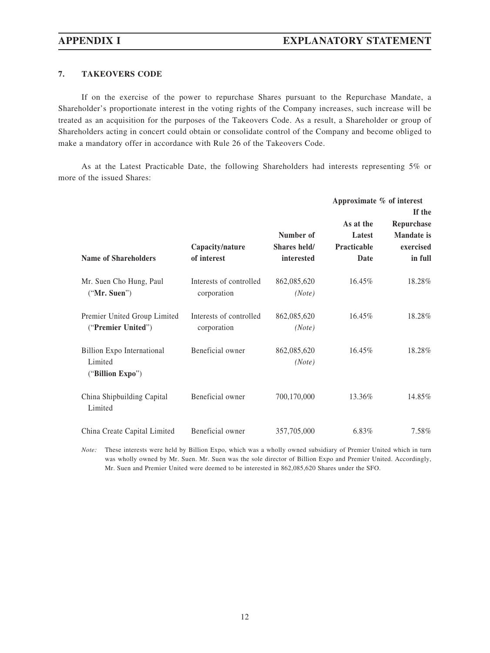# **7. TAKEOVERS CODE**

If on the exercise of the power to repurchase Shares pursuant to the Repurchase Mandate, a Shareholder's proportionate interest in the voting rights of the Company increases, such increase will be treated as an acquisition for the purposes of the Takeovers Code. As a result, a Shareholder or group of Shareholders acting in concert could obtain or consolidate control of the Company and become obliged to make a mandatory offer in accordance with Rule 26 of the Takeovers Code.

As at the Latest Practicable Date, the following Shareholders had interests representing 5% or more of the issued Shares:

|                                                           |                                        |                                         |                                                   | Approximate % of interest<br>If the                     |  |
|-----------------------------------------------------------|----------------------------------------|-----------------------------------------|---------------------------------------------------|---------------------------------------------------------|--|
| <b>Name of Shareholders</b>                               | Capacity/nature<br>of interest         | Number of<br>Shares held/<br>interested | As at the<br>Latest<br><b>Practicable</b><br>Date | Repurchase<br><b>Mandate</b> is<br>exercised<br>in full |  |
| Mr. Suen Cho Hung, Paul<br>("Mr. Suen")                   | Interests of controlled<br>corporation | 862,085,620<br>(Note)                   | $16.45\%$                                         | 18.28%                                                  |  |
| Premier United Group Limited<br>("Premier United")        | Interests of controlled<br>corporation | 862,085,620<br>(Note)                   | $16.45\%$                                         | 18.28%                                                  |  |
| Billion Expo International<br>Limited<br>("Billion Expo") | Beneficial owner                       | 862,085,620<br>(Note)                   | 16.45%                                            | 18.28%                                                  |  |
| China Shipbuilding Capital<br>Limited                     | Beneficial owner                       | 700,170,000                             | 13.36%                                            | 14.85%                                                  |  |
| China Create Capital Limited                              | Beneficial owner                       | 357,705,000                             | 6.83%                                             | 7.58%                                                   |  |

*Note:* These interests were held by Billion Expo, which was a wholly owned subsidiary of Premier United which in turn was wholly owned by Mr. Suen. Mr. Suen was the sole director of Billion Expo and Premier United. Accordingly, Mr. Suen and Premier United were deemed to be interested in 862,085,620 Shares under the SFO.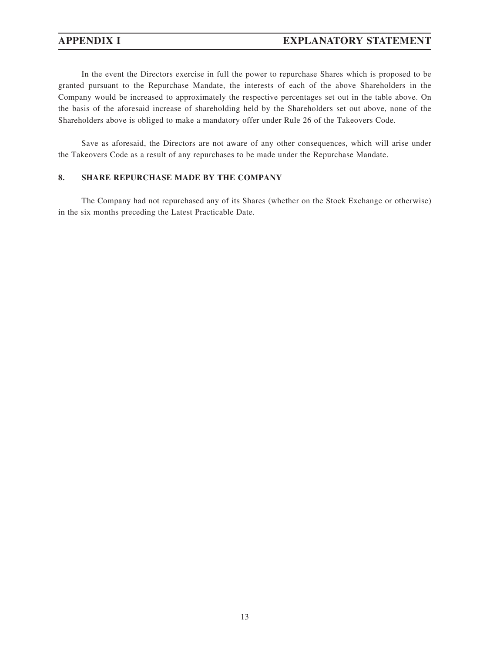# **APPENDIX I EXPLANATORY STATEMENT**

In the event the Directors exercise in full the power to repurchase Shares which is proposed to be granted pursuant to the Repurchase Mandate, the interests of each of the above Shareholders in the Company would be increased to approximately the respective percentages set out in the table above. On the basis of the aforesaid increase of shareholding held by the Shareholders set out above, none of the Shareholders above is obliged to make a mandatory offer under Rule 26 of the Takeovers Code.

Save as aforesaid, the Directors are not aware of any other consequences, which will arise under the Takeovers Code as a result of any repurchases to be made under the Repurchase Mandate.

## **8. SHARE REPURCHASE MADE BY THE COMPANY**

The Company had not repurchased any of its Shares (whether on the Stock Exchange or otherwise) in the six months preceding the Latest Practicable Date.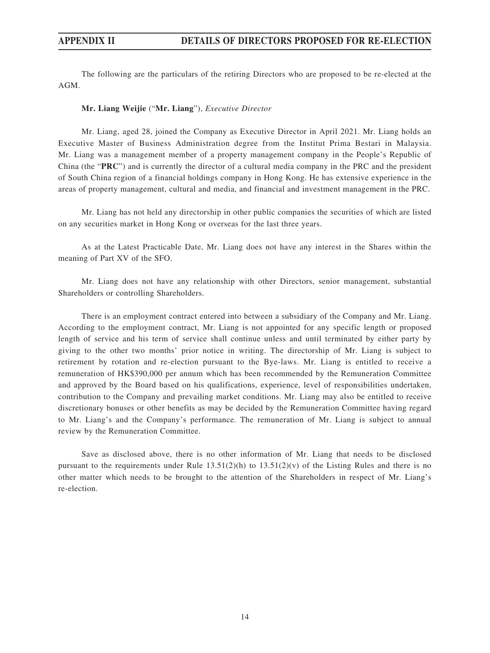The following are the particulars of the retiring Directors who are proposed to be re-elected at the AGM.

#### **Mr. Liang Weijie** ("**Mr. Liang**"), *Executive Director*

Mr. Liang, aged 28, joined the Company as Executive Director in April 2021. Mr. Liang holds an Executive Master of Business Administration degree from the Institut Prima Bestari in Malaysia. Mr. Liang was a management member of a property management company in the People's Republic of China (the "**PRC**") and is currently the director of a cultural media company in the PRC and the president of South China region of a financial holdings company in Hong Kong. He has extensive experience in the areas of property management, cultural and media, and financial and investment management in the PRC.

Mr. Liang has not held any directorship in other public companies the securities of which are listed on any securities market in Hong Kong or overseas for the last three years.

As at the Latest Practicable Date, Mr. Liang does not have any interest in the Shares within the meaning of Part XV of the SFO.

Mr. Liang does not have any relationship with other Directors, senior management, substantial Shareholders or controlling Shareholders.

There is an employment contract entered into between a subsidiary of the Company and Mr. Liang. According to the employment contract, Mr. Liang is not appointed for any specific length or proposed length of service and his term of service shall continue unless and until terminated by either party by giving to the other two months' prior notice in writing. The directorship of Mr. Liang is subject to retirement by rotation and re-election pursuant to the Bye-laws. Mr. Liang is entitled to receive a remuneration of HK\$390,000 per annum which has been recommended by the Remuneration Committee and approved by the Board based on his qualifications, experience, level of responsibilities undertaken, contribution to the Company and prevailing market conditions. Mr. Liang may also be entitled to receive discretionary bonuses or other benefits as may be decided by the Remuneration Committee having regard to Mr. Liang's and the Company's performance. The remuneration of Mr. Liang is subject to annual review by the Remuneration Committee.

Save as disclosed above, there is no other information of Mr. Liang that needs to be disclosed pursuant to the requirements under Rule  $13.51(2)(h)$  to  $13.51(2)(v)$  of the Listing Rules and there is no other matter which needs to be brought to the attention of the Shareholders in respect of Mr. Liang's re-election.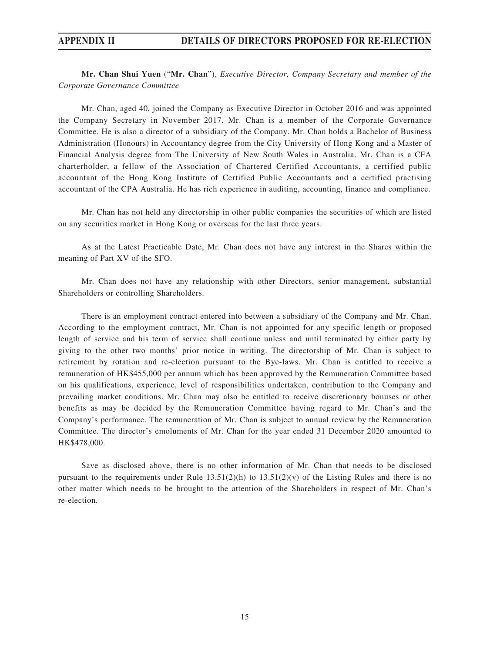**Mr. Chan Shui Yuen** ("**Mr. Chan**"), *Executive Director, Company Secretary and member of the Corporate Governance Committee*

Mr. Chan, aged 40, joined the Company as Executive Director in October 2016 and was appointed the Company Secretary in November 2017. Mr. Chan is a member of the Corporate Governance Committee. He is also a director of a subsidiary of the Company. Mr. Chan holds a Bachelor of Business Administration (Honours) in Accountancy degree from the City University of Hong Kong and a Master of Financial Analysis degree from The University of New South Wales in Australia. Mr. Chan is a CFA charterholder, a fellow of the Association of Chartered Certified Accountants, a certified public accountant of the Hong Kong Institute of Certified Public Accountants and a certified practising accountant of the CPA Australia. He has rich experience in auditing, accounting, finance and compliance.

Mr. Chan has not held any directorship in other public companies the securities of which are listed on any securities market in Hong Kong or overseas for the last three years.

As at the Latest Practicable Date, Mr. Chan does not have any interest in the Shares within the meaning of Part XV of the SFO.

Mr. Chan does not have any relationship with other Directors, senior management, substantial Shareholders or controlling Shareholders.

There is an employment contract entered into between a subsidiary of the Company and Mr. Chan. According to the employment contract, Mr. Chan is not appointed for any specific length or proposed length of service and his term of service shall continue unless and until terminated by either party by giving to the other two months' prior notice in writing. The directorship of Mr. Chan is subject to retirement by rotation and re-election pursuant to the Bye-laws. Mr. Chan is entitled to receive a remuneration of HK\$455,000 per annum which has been approved by the Remuneration Committee based on his qualifications, experience, level of responsibilities undertaken, contribution to the Company and prevailing market conditions. Mr. Chan may also be entitled to receive discretionary bonuses or other benefits as may be decided by the Remuneration Committee having regard to Mr. Chan's and the Company's performance. The remuneration of Mr. Chan is subject to annual review by the Remuneration Committee. The director's emoluments of Mr. Chan for the year ended 31 December 2020 amounted to HK\$478,000.

Save as disclosed above, there is no other information of Mr. Chan that needs to be disclosed pursuant to the requirements under Rule  $13.51(2)(h)$  to  $13.51(2)(v)$  of the Listing Rules and there is no other matter which needs to be brought to the attention of the Shareholders in respect of Mr. Chan's re-election.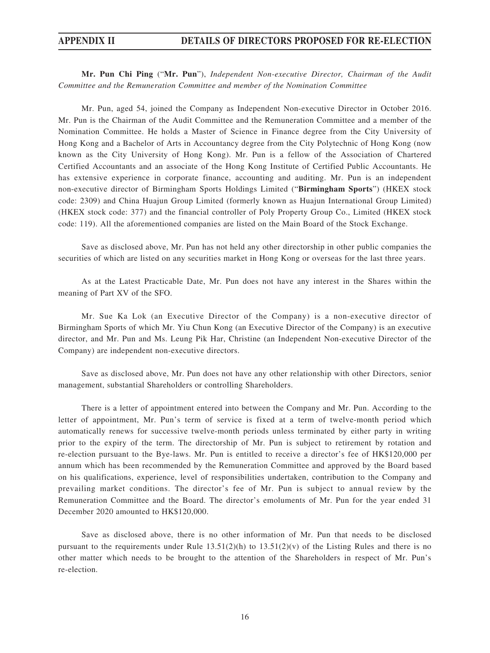**Mr. Pun Chi Ping** ("**Mr. Pun**"), *Independent Non-executive Director, Chairman of the Audit Committee and the Remuneration Committee and member of the Nomination Committee*

Mr. Pun, aged 54, joined the Company as Independent Non-executive Director in October 2016. Mr. Pun is the Chairman of the Audit Committee and the Remuneration Committee and a member of the Nomination Committee. He holds a Master of Science in Finance degree from the City University of Hong Kong and a Bachelor of Arts in Accountancy degree from the City Polytechnic of Hong Kong (now known as the City University of Hong Kong). Mr. Pun is a fellow of the Association of Chartered Certified Accountants and an associate of the Hong Kong Institute of Certified Public Accountants. He has extensive experience in corporate finance, accounting and auditing. Mr. Pun is an independent non-executive director of Birmingham Sports Holdings Limited ("**Birmingham Sports**") (HKEX stock code: 2309) and China Huajun Group Limited (formerly known as Huajun International Group Limited) (HKEX stock code: 377) and the financial controller of Poly Property Group Co., Limited (HKEX stock code: 119). All the aforementioned companies are listed on the Main Board of the Stock Exchange.

Save as disclosed above, Mr. Pun has not held any other directorship in other public companies the securities of which are listed on any securities market in Hong Kong or overseas for the last three years.

As at the Latest Practicable Date, Mr. Pun does not have any interest in the Shares within the meaning of Part XV of the SFO.

Mr. Sue Ka Lok (an Executive Director of the Company) is a non-executive director of Birmingham Sports of which Mr. Yiu Chun Kong (an Executive Director of the Company) is an executive director, and Mr. Pun and Ms. Leung Pik Har, Christine (an Independent Non-executive Director of the Company) are independent non-executive directors.

Save as disclosed above, Mr. Pun does not have any other relationship with other Directors, senior management, substantial Shareholders or controlling Shareholders.

There is a letter of appointment entered into between the Company and Mr. Pun. According to the letter of appointment, Mr. Pun's term of service is fixed at a term of twelve-month period which automatically renews for successive twelve-month periods unless terminated by either party in writing prior to the expiry of the term. The directorship of Mr. Pun is subject to retirement by rotation and re-election pursuant to the Bye-laws. Mr. Pun is entitled to receive a director's fee of HK\$120,000 per annum which has been recommended by the Remuneration Committee and approved by the Board based on his qualifications, experience, level of responsibilities undertaken, contribution to the Company and prevailing market conditions. The director's fee of Mr. Pun is subject to annual review by the Remuneration Committee and the Board. The director's emoluments of Mr. Pun for the year ended 31 December 2020 amounted to HK\$120,000.

Save as disclosed above, there is no other information of Mr. Pun that needs to be disclosed pursuant to the requirements under Rule  $13.51(2)(h)$  to  $13.51(2)(v)$  of the Listing Rules and there is no other matter which needs to be brought to the attention of the Shareholders in respect of Mr. Pun's re-election.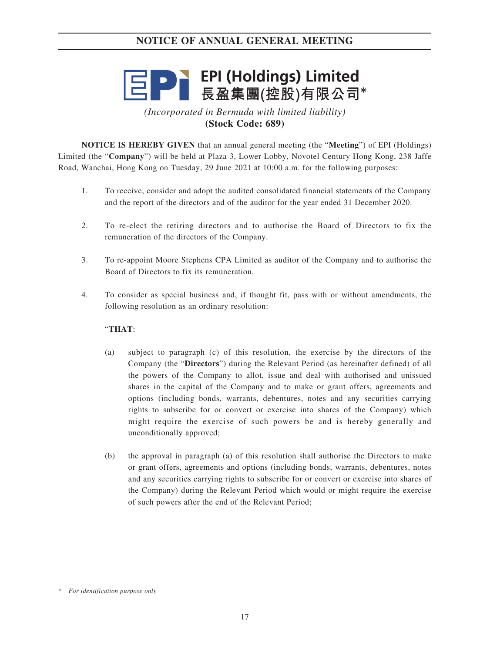# **三日 ● FEPI (Holdings) Limited**<br>三日 ● 長盈集團(控股)有限公司\*

*(Incorporated in Bermuda with limited liability)* **(Stock Code: 689)**

**NOTICE IS HEREBY GIVEN** that an annual general meeting (the "**Meeting**") of EPI (Holdings) Limited (the "**Company**") will be held at Plaza 3, Lower Lobby, Novotel Century Hong Kong, 238 Jaffe Road, Wanchai, Hong Kong on Tuesday, 29 June 2021 at 10:00 a.m. for the following purposes:

- 1. To receive, consider and adopt the audited consolidated financial statements of the Company and the report of the directors and of the auditor for the year ended 31 December 2020.
- 2. To re-elect the retiring directors and to authorise the Board of Directors to fix the remuneration of the directors of the Company.
- 3. To re-appoint Moore Stephens CPA Limited as auditor of the Company and to authorise the Board of Directors to fix its remuneration.
- 4. To consider as special business and, if thought fit, pass with or without amendments, the following resolution as an ordinary resolution:

## "**THAT**:

- (a) subject to paragraph (c) of this resolution, the exercise by the directors of the Company (the "**Directors**") during the Relevant Period (as hereinafter defined) of all the powers of the Company to allot, issue and deal with authorised and unissued shares in the capital of the Company and to make or grant offers, agreements and options (including bonds, warrants, debentures, notes and any securities carrying rights to subscribe for or convert or exercise into shares of the Company) which might require the exercise of such powers be and is hereby generally and unconditionally approved;
- (b) the approval in paragraph (a) of this resolution shall authorise the Directors to make or grant offers, agreements and options (including bonds, warrants, debentures, notes and any securities carrying rights to subscribe for or convert or exercise into shares of the Company) during the Relevant Period which would or might require the exercise of such powers after the end of the Relevant Period;

<sup>\*</sup> *For identification purpose only*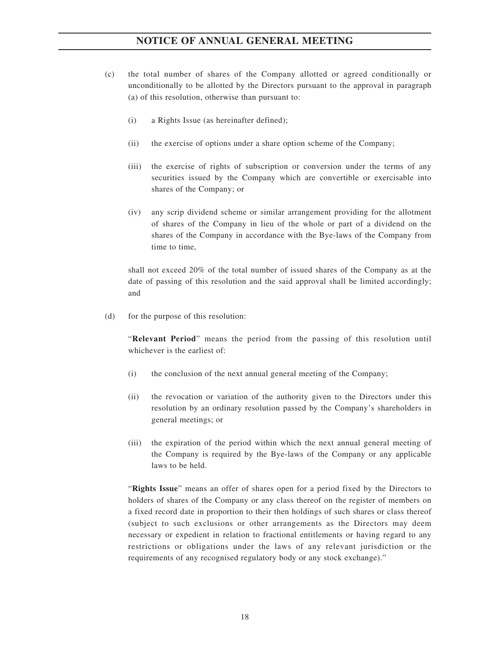- (c) the total number of shares of the Company allotted or agreed conditionally or unconditionally to be allotted by the Directors pursuant to the approval in paragraph (a) of this resolution, otherwise than pursuant to:
	- (i) a Rights Issue (as hereinafter defined);
	- (ii) the exercise of options under a share option scheme of the Company;
	- (iii) the exercise of rights of subscription or conversion under the terms of any securities issued by the Company which are convertible or exercisable into shares of the Company; or
	- (iv) any scrip dividend scheme or similar arrangement providing for the allotment of shares of the Company in lieu of the whole or part of a dividend on the shares of the Company in accordance with the Bye-laws of the Company from time to time,

shall not exceed 20% of the total number of issued shares of the Company as at the date of passing of this resolution and the said approval shall be limited accordingly; and

(d) for the purpose of this resolution:

"**Relevant Period**" means the period from the passing of this resolution until whichever is the earliest of:

- (i) the conclusion of the next annual general meeting of the Company;
- (ii) the revocation or variation of the authority given to the Directors under this resolution by an ordinary resolution passed by the Company's shareholders in general meetings; or
- (iii) the expiration of the period within which the next annual general meeting of the Company is required by the Bye-laws of the Company or any applicable laws to be held.

"**Rights Issue**" means an offer of shares open for a period fixed by the Directors to holders of shares of the Company or any class thereof on the register of members on a fixed record date in proportion to their then holdings of such shares or class thereof (subject to such exclusions or other arrangements as the Directors may deem necessary or expedient in relation to fractional entitlements or having regard to any restrictions or obligations under the laws of any relevant jurisdiction or the requirements of any recognised regulatory body or any stock exchange)."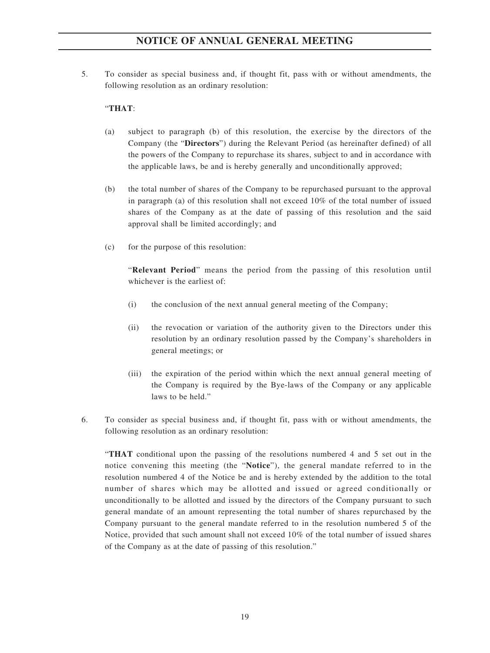5. To consider as special business and, if thought fit, pass with or without amendments, the following resolution as an ordinary resolution:

### "**THAT**:

- (a) subject to paragraph (b) of this resolution, the exercise by the directors of the Company (the "**Directors**") during the Relevant Period (as hereinafter defined) of all the powers of the Company to repurchase its shares, subject to and in accordance with the applicable laws, be and is hereby generally and unconditionally approved;
- (b) the total number of shares of the Company to be repurchased pursuant to the approval in paragraph (a) of this resolution shall not exceed 10% of the total number of issued shares of the Company as at the date of passing of this resolution and the said approval shall be limited accordingly; and
- (c) for the purpose of this resolution:

"**Relevant Period**" means the period from the passing of this resolution until whichever is the earliest of:

- (i) the conclusion of the next annual general meeting of the Company;
- (ii) the revocation or variation of the authority given to the Directors under this resolution by an ordinary resolution passed by the Company's shareholders in general meetings; or
- (iii) the expiration of the period within which the next annual general meeting of the Company is required by the Bye-laws of the Company or any applicable laws to be held."
- 6. To consider as special business and, if thought fit, pass with or without amendments, the following resolution as an ordinary resolution:

"**THAT** conditional upon the passing of the resolutions numbered 4 and 5 set out in the notice convening this meeting (the "**Notice**"), the general mandate referred to in the resolution numbered 4 of the Notice be and is hereby extended by the addition to the total number of shares which may be allotted and issued or agreed conditionally or unconditionally to be allotted and issued by the directors of the Company pursuant to such general mandate of an amount representing the total number of shares repurchased by the Company pursuant to the general mandate referred to in the resolution numbered 5 of the Notice, provided that such amount shall not exceed 10% of the total number of issued shares of the Company as at the date of passing of this resolution."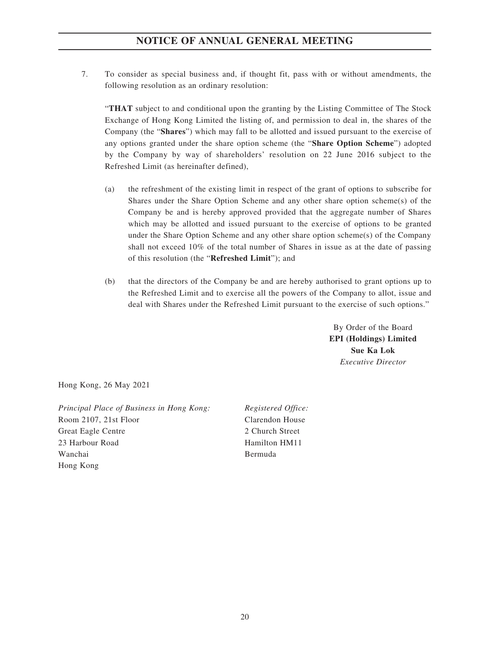7. To consider as special business and, if thought fit, pass with or without amendments, the following resolution as an ordinary resolution:

"**THAT** subject to and conditional upon the granting by the Listing Committee of The Stock Exchange of Hong Kong Limited the listing of, and permission to deal in, the shares of the Company (the "**Shares**") which may fall to be allotted and issued pursuant to the exercise of any options granted under the share option scheme (the "**Share Option Scheme**") adopted by the Company by way of shareholders' resolution on 22 June 2016 subject to the Refreshed Limit (as hereinafter defined),

- (a) the refreshment of the existing limit in respect of the grant of options to subscribe for Shares under the Share Option Scheme and any other share option scheme(s) of the Company be and is hereby approved provided that the aggregate number of Shares which may be allotted and issued pursuant to the exercise of options to be granted under the Share Option Scheme and any other share option scheme(s) of the Company shall not exceed 10% of the total number of Shares in issue as at the date of passing of this resolution (the "**Refreshed Limit**"); and
- (b) that the directors of the Company be and are hereby authorised to grant options up to the Refreshed Limit and to exercise all the powers of the Company to allot, issue and deal with Shares under the Refreshed Limit pursuant to the exercise of such options."

By Order of the Board **EPI (Holdings) Limited Sue Ka Lok** *Executive Director*

Hong Kong, 26 May 2021

*Principal Place of Business in Hong Kong: Registered Office:* Room 2107, 21st Floor Great Eagle Centre 23 Harbour Road Wanchai Hong Kong

Clarendon House 2 Church Street Hamilton HM11 Bermuda